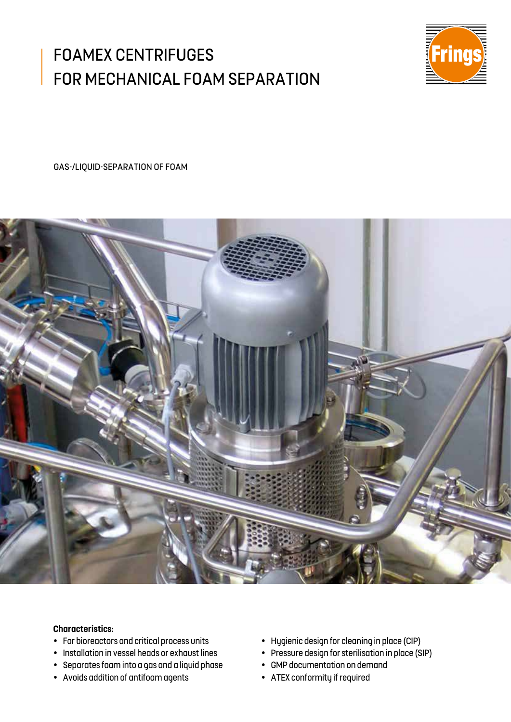## FOAMEX CENTRIFUGES FOR MECHANICAL FOAM SEPARATION



GAS-/LIQUID-SEPARATION OF FOAM



## **Characteristics:**

- For bioreactors and critical process units
- Installation in vessel heads or exhaust lines
- Separates foam into a gas and a liquid phase
- Avoids addition of antifoam agents
- Hygienic design for cleaning in place (CIP)
- Pressure design for sterilisation in place (SIP)
- GMP documentation on demand
- ATEX conformity if required